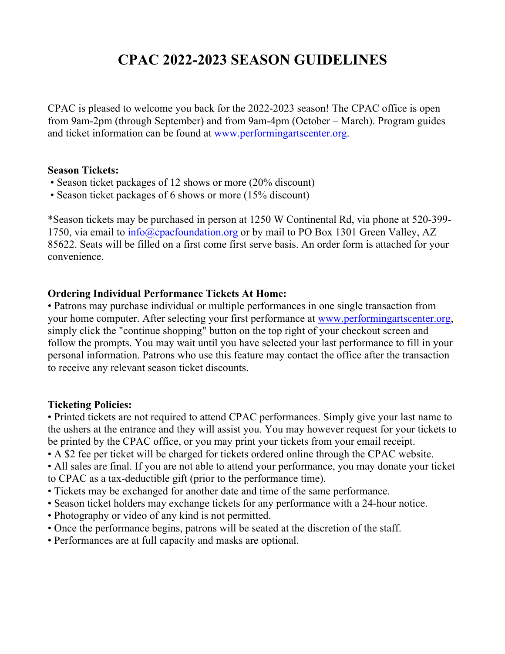## **CPAC 2022-2023 SEASON GUIDELINES**

CPAC is pleased to welcome you back for the 2022-2023 season! The CPAC office is open from 9am-2pm (through September) and from 9am-4pm (October – March). Program guides and ticket information can be found at www.performingartscenter.org.

## **Season Tickets:**

- Season ticket packages of 12 shows or more (20% discount)
- Season ticket packages of 6 shows or more (15% discount)

\*Season tickets may be purchased in person at 1250 W Continental Rd, via phone at 520-399- 1750, via email to info@cpacfoundation.org or by mail to PO Box 1301 Green Valley, AZ 85622. Seats will be filled on a first come first serve basis. An order form is attached for your convenience.

## **Ordering Individual Performance Tickets At Home:**

• Patrons may purchase individual or multiple performances in one single transaction from your home computer. After selecting your first performance at www.performingartscenter.org, simply click the "continue shopping" button on the top right of your checkout screen and follow the prompts. You may wait until you have selected your last performance to fill in your personal information. Patrons who use this feature may contact the office after the transaction to receive any relevant season ticket discounts.

## **Ticketing Policies:**

• Printed tickets are not required to attend CPAC performances. Simply give your last name to the ushers at the entrance and they will assist you. You may however request for your tickets to be printed by the CPAC office, or you may print your tickets from your email receipt.

• A \$2 fee per ticket will be charged for tickets ordered online through the CPAC website.

• All sales are final. If you are not able to attend your performance, you may donate your ticket to CPAC as a tax-deductible gift (prior to the performance time).

- Tickets may be exchanged for another date and time of the same performance.
- Season ticket holders may exchange tickets for any performance with a 24-hour notice.
- Photography or video of any kind is not permitted.
- Once the performance begins, patrons will be seated at the discretion of the staff.
- Performances are at full capacity and masks are optional.